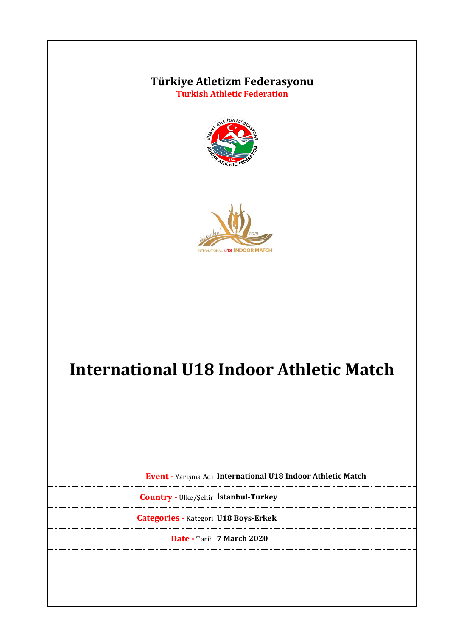



# **International U18 Indoor Athletic Match**

|                                             | Event - Yarışma Adı International U18 Indoor Athletic Match |
|---------------------------------------------|-------------------------------------------------------------|
| <b>Country - Ülke/Şehir İstanbul-Turkey</b> |                                                             |
| <b>Categories - Kategori U18 Boys-Erkek</b> |                                                             |
|                                             | Date - Tarih 7 March 2020                                   |
|                                             |                                                             |
|                                             |                                                             |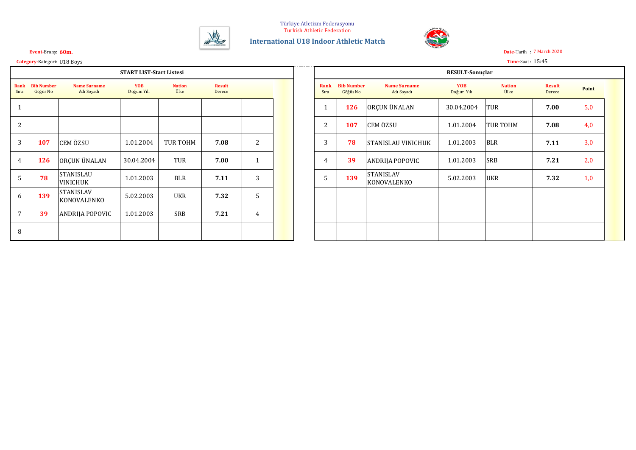

**International U18 Indoor Athletic Match**



**Event-Balkan Indoor Balkan Indonesis Papadias Papadias Papadias Papadias Papadias Papadias Papadias Papadias P** 

#### **Category-**Kategori: **U18 Boys Time-Saat : 15:45 Georgios Theodoridis Green in the conductivity of the conduction of the conduction of the conduction of the conduction of the conduction of the conduction of the conductio**

#### **Event-Brans: 60m.**

|                |                               |                                     | <b>START LIST-Start Listesi</b> |                       |                         |                |  |                |                               |                                      |
|----------------|-------------------------------|-------------------------------------|---------------------------------|-----------------------|-------------------------|----------------|--|----------------|-------------------------------|--------------------------------------|
| Rank<br>Sıra   | <b>Bib Number</b><br>Göğüs No | <b>Name Surname</b><br>Adı Soyadı   | <b>YOB</b><br>Doğum Yılı        | <b>Nation</b><br>Ülke | <b>Result</b><br>Derece |                |  | Rank<br>Sıra   | <b>Bib Number</b><br>Göğüs No | <b>Name S</b><br>Adı S               |
| $\mathbf{1}$   |                               |                                     |                                 |                       |                         |                |  | $\mathbf{1}$   | 126                           | ORÇUN ÜNA                            |
| 2              |                               |                                     |                                 |                       |                         |                |  | 2              | 107                           | CEM ÖZSU                             |
| 3              | 107                           | CEM ÖZSU                            | 1.01.2004                       | TUR TOHM              | 7.08                    | 2              |  | 3              | 78                            | STANISLAU                            |
| $\overline{4}$ | 126                           | ORÇUN ÜNALAN                        | 30.04.2004                      | TUR                   | 7.00                    | $\mathbf{1}$   |  | $\overline{4}$ | 39                            | <b>ANDRIJA PC</b>                    |
| 5              | 78                            | <b>STANISLAU</b><br><b>VINICHUK</b> | 1.01.2003                       | <b>BLR</b>            | 7.11                    | 3              |  | 5              | 139                           | <b>STANISLAV</b><br><b>KONOVALEI</b> |
| 6              | 139                           | <b>STANISLAV</b><br>KONOVALENKO     | 5.02.2003                       | UKR                   | 7.32                    | 5              |  |                |                               |                                      |
| 7              | 39                            | ANDRIJA POPOVIC                     | 1.01.2003                       | <b>SRB</b>            | 7.21                    | $\overline{4}$ |  |                |                               |                                      |
| 8              |                               |                                     |                                 |                       |                         |                |  |                |                               |                                      |

|                |                               | <b>START LIST-Start Listesi</b><br><b>Result</b><br><b>Name Surname</b><br><b>YOB</b><br><b>Nation</b><br>Ülke<br>Doğum Yılı<br>Adı Soyadı<br>Derece<br>CEM ÖZSU<br>TUR TOHM<br>7.08<br>1.01.2004<br>ORÇUN ÜNALAN<br>TUR<br>30.04.2004<br>7.00<br>STANISLAU |           |            |      |                |  |              |                               |                                   | RESULT-Sonuçlar          |                       |                         |       |
|----------------|-------------------------------|-------------------------------------------------------------------------------------------------------------------------------------------------------------------------------------------------------------------------------------------------------------|-----------|------------|------|----------------|--|--------------|-------------------------------|-----------------------------------|--------------------------|-----------------------|-------------------------|-------|
| ank<br>ıra     | <b>Bib Number</b><br>Göğüs No |                                                                                                                                                                                                                                                             |           |            |      |                |  | Rank<br>Sıra | <b>Bib Number</b><br>Göğüs No | <b>Name Surname</b><br>Adı Soyadı | <b>YOB</b><br>Doğum Yılı | <b>Nation</b><br>Ülke | <b>Result</b><br>Derece | Point |
|                |                               |                                                                                                                                                                                                                                                             |           |            |      |                |  |              | 126                           | ORÇUN ÜNALAN                      | 30.04.2004               | <b>TUR</b>            | 7.00                    | 5,0   |
| $\overline{2}$ |                               |                                                                                                                                                                                                                                                             |           |            |      |                |  | 2            | 107                           | <b>CEM ÖZSU</b>                   | 1.01.2004                | <b>TUR TOHM</b>       | 7.08                    | 4,0   |
| 3              | 107                           |                                                                                                                                                                                                                                                             |           |            |      | $\overline{2}$ |  | 3            | 78                            | <b>STANISLAU VINICHUK</b>         | 1.01.2003                | <b>BLR</b>            | 7.11                    | 3,0   |
| 4              | 126                           |                                                                                                                                                                                                                                                             |           |            |      |                |  | 4            | 39                            | <b>ANDRIJA POPOVIC</b>            | 1.01.2003                | <b>SRB</b>            | 7.21                    | 2,0   |
| 5              | 78                            | VINICHUK                                                                                                                                                                                                                                                    | 1.01.2003 | <b>BLR</b> | 7.11 | 3              |  | 5            | 139                           | <b>STANISLAV</b><br>KONOVALENKO   | 5.02.2003                | <b>UKR</b>            | 7.32                    | 1,0   |
| 6              | 139                           | <b>STANISLAV</b><br>KONOVALENKO                                                                                                                                                                                                                             | 5.02.2003 | UKR        | 7.32 | 5              |  |              |                               |                                   |                          |                       |                         |       |
| 7              | 39                            | ANDRIJA POPOVIC                                                                                                                                                                                                                                             | 1.01.2003 | SRB        | 7.21 | 4              |  |              |                               |                                   |                          |                       |                         |       |
| 8              |                               |                                                                                                                                                                                                                                                             |           |            |      |                |  |              |                               |                                   |                          |                       |                         |       |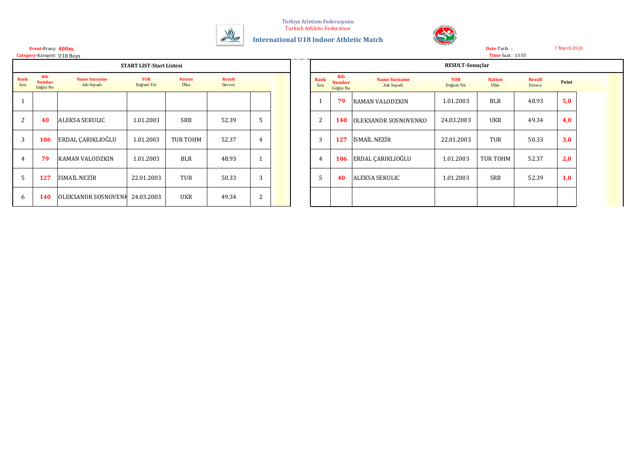

**International U18 Indoor Athletic Match**



7 March 2020

#### **400m.** 45.94 Ioan Vieru ROU Wien 2 Mar 2002 **Event-**Branş:

**Category-**Kategori:

|              |                                         |                                   | <b>START LIST-Start Listesi</b> |                       |                         |                |  |                |                                         |                                   | <b>RESULT-Sonuclar</b>   |                       |                         |      |
|--------------|-----------------------------------------|-----------------------------------|---------------------------------|-----------------------|-------------------------|----------------|--|----------------|-----------------------------------------|-----------------------------------|--------------------------|-----------------------|-------------------------|------|
| Rank<br>Sıra | <b>Bib</b><br><b>Number</b><br>Göğüs No | <b>Name Surname</b><br>Adı Soyadı | <b>YOB</b><br>Doğum Yılı        | <b>Nation</b><br>Ülke | <b>Result</b><br>Derece |                |  | Rank<br>Sıra   | <b>Bib</b><br><b>Number</b><br>Göğüs No | <b>Name Surname</b><br>Adı Soyadı | <b>YOB</b><br>Doğum Yılı | <b>Nation</b><br>Ülke | <b>Result</b><br>Derece | Poin |
|              |                                         |                                   |                                 |                       |                         |                |  |                | 79                                      | RAMAN VALODZKIN                   | 1.01.2003                | <b>BLR</b>            | 48.93                   | 5,0  |
| 2            | 40                                      | <b>ALEKSA SEKULIC</b>             | 1.01.2003                       | SRB                   | 52.39                   | 5              |  | $\overline{2}$ | <b>140</b>                              | <b>OLEKSANDR SOSNOVENKO</b>       | 24.03.2003               | UKR                   | 49.34                   | 4,0  |
| 3            | 106                                     | <b>ERDAL CARIKLIOĞLU</b>          | 1.01.2003                       | TUR TOHM              | 52.37                   | $\overline{4}$ |  | 3              | 127                                     | <b>ISMAIL NEZIR</b>               | 22.01.2003               | TUR                   | 50.33                   | 3,0  |
|              | 79                                      | <b>RAMAN VALODZKIN</b>            | 1.01.2003                       | <b>BLR</b>            | 48.93                   |                |  | 4              | <b>106</b>                              | ERDAL ÇARIKLIOĞLU                 | 1.01.2003                | TUR TOHM              | 52.37                   | 2,0  |
| 5            | 127                                     | ISMAIL NEZIR                      | 22.01.2003                      | TUR                   | 50.33                   | 3              |  | 5              | 40                                      | <b>ALEKSA SEKULIC</b>             | 1.01.2003                | <b>SRB</b>            | 52.39                   | 1,0  |
| 6            | 140                                     | OLEKSANDR SOSNOVENH 24.03.2003    |                                 | <b>UKR</b>            | 49.34                   | 2              |  |                |                                         |                                   |                          |                       |                         |      |

| U18 Boys                          |                                 |                       |                         |   |  |               |                                         |                                   |                          | <b>Time-Saat: 13:55</b> |                         |       |  |
|-----------------------------------|---------------------------------|-----------------------|-------------------------|---|--|---------------|-----------------------------------------|-----------------------------------|--------------------------|-------------------------|-------------------------|-------|--|
|                                   | <b>START LIST-Start Listesi</b> |                       |                         |   |  |               |                                         |                                   | RESULT-Sonuçlar          |                         |                         |       |  |
| <b>Name Surname</b><br>Adı Soyadı | <b>YOB</b><br>Doğum Yılı        | <b>Nation</b><br>Ülke | <b>Result</b><br>Derece |   |  | Rank<br>Sıra  | <b>Bib</b><br><b>Number</b><br>Göğüs No | <b>Name Surname</b><br>Adı Soyadı | <b>YOB</b><br>Doğum Yılı | <b>Nation</b><br>Ülke   | <b>Result</b><br>Derece | Point |  |
|                                   |                                 |                       |                         |   |  |               | 79                                      | RAMAN VALODZKIN                   | 1.01.2003                | <b>BLR</b>              | 48.93                   | 5,0   |  |
| ALEKSA SEKULIC                    | 1.01.2003                       | SRB                   | 52.39                   | Ъ |  | 2             | <b>140</b>                              | OLEKSANDR SOSNOVENKO              | 24.03.2003               | <b>UKR</b>              | 49.34                   | 4,0   |  |
| ERDAL ÇARIKLIOĞLU                 | 1.01.2003                       | TUR TOHM              | 52.37                   | 4 |  | 3             | 127                                     | <b>İSMAİL NEZİR</b>               | 22.01.2003               | TUR                     | 50.33                   | 3,0   |  |
| RAMAN VALODZKIN                   | 1.01.2003                       | <b>BLR</b>            | 48.93                   |   |  | 4             | 106                                     | ERDAL ÇARIKLIOĞLU                 | 1.01.2003                | TUR TOHM                | 52.37                   | 2,0   |  |
| İSMAİL NEZİR                      | 22.01.2003                      | TUR                   | 50.33                   | 3 |  | $\mathcal{D}$ | 40                                      | ALEKSA SEKULIC                    | 1.01.2003                | <b>SRB</b>              | 52.39                   | 1,0   |  |
| OLEKSANDR SOSNOVENI 24.03.2003    |                                 | UKR                   | 49.34                   | 2 |  |               |                                         |                                   |                          |                         |                         |       |  |

**Date-**Tarih :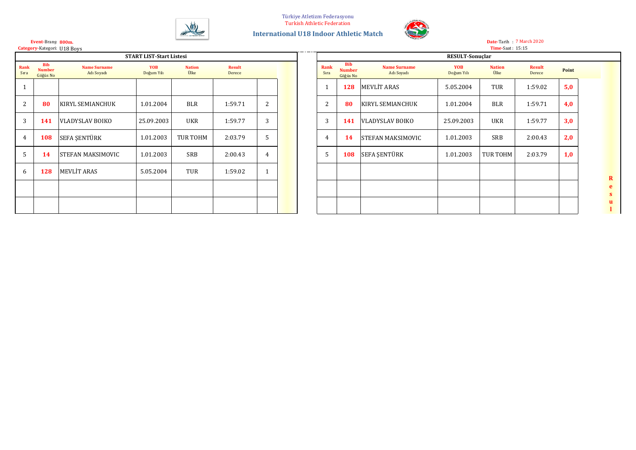



#### **800m. Event-**Branş: **Category-Kategori: U18 Boys**

|              |                                         |                                   | <b>START LIST-Start Listesi</b> |                       |                         |                |  |              |                                         |                                   | RESULT-Sonuçlar          |                       |                         |      |
|--------------|-----------------------------------------|-----------------------------------|---------------------------------|-----------------------|-------------------------|----------------|--|--------------|-----------------------------------------|-----------------------------------|--------------------------|-----------------------|-------------------------|------|
| Rank<br>Sıra | <b>Bib</b><br><b>Number</b><br>Göğüs No | <b>Name Surname</b><br>Adı Soyadı | <b>YOB</b><br>Doğum Yılı        | <b>Nation</b><br>Ülke | <b>Result</b><br>Derece |                |  | Rank<br>Sıra | <b>Bib</b><br><b>Number</b><br>Göğüs No | <b>Name Surname</b><br>Adı Soyadı | <b>YOB</b><br>Doğum Yılı | <b>Nation</b><br>Ülke | <b>Result</b><br>Derece | Poin |
|              |                                         |                                   |                                 |                       |                         |                |  | - 1          | 128                                     | <b>MEVLIT ARAS</b>                | 5.05.2004                | TUR                   | 1:59.02                 | 5,0  |
| 2            | 80                                      | <b>KIRYL SEMIANCHUK</b>           | 1.01.2004                       | <b>BLR</b>            | 1:59.71                 | $\overline{2}$ |  | 2            | 80                                      | <b>KIRYL SEMIANCHUK</b>           | 1.01.2004                | <b>BLR</b>            | 1:59.71                 | 4,0  |
| 3            | 141                                     | <b>VLADYSLAV BOIKO</b>            | 25.09.2003                      | UKR                   | 1:59.77                 | 3              |  | 3            | 141                                     | <b>VLADYSLAV BOIKO</b>            | 25.09.2003               | UKR                   | 1:59.77                 | 3,0  |
| 4            | 108                                     | SEFA ŞENTÜRK                      | 1.01.2003                       | TUR TOHM              | 2:03.79                 | 5              |  | 4            | <b>14</b>                               | <b>STEFAN MAKSIMOVIC</b>          | 1.01.2003                | <b>SRB</b>            | 2:00.43                 | 2,0  |
| 5            | 14                                      | STEFAN MAKSIMOVIC                 | 1.01.2003                       | SRB                   | 2:00.43                 | 4              |  | 5            | 108                                     | <b>SEFA ŞENTÜRK</b>               | 1.01.2003                | TUR TOHM              | 2:03.79                 | 1,0  |
| 6            | 128                                     | <b>MEVLIT ARAS</b>                | 5.05.2004                       | TUR                   | 1:59.02                 |                |  |              |                                         |                                   |                          |                       |                         |      |
|              |                                         |                                   |                                 |                       |                         |                |  |              |                                         |                                   |                          |                       |                         |      |
|              |                                         |                                   |                                 |                       |                         |                |  |              |                                         |                                   |                          |                       |                         |      |

|                          |                       |                         |                |              |                                         |                                   |                          | <b>Time-Saat: 15:15</b> |                         |       |
|--------------------------|-----------------------|-------------------------|----------------|--------------|-----------------------------------------|-----------------------------------|--------------------------|-------------------------|-------------------------|-------|
| START LIST-Start Listesi |                       |                         |                |              |                                         |                                   | <b>RESULT-Sonuclar</b>   |                         |                         |       |
| <b>YOB</b><br>Doğum Yılı | <b>Nation</b><br>Ülke | <b>Result</b><br>Derece |                | Rank<br>Sıra | <b>Bib</b><br><b>Number</b><br>Göğüs No | <b>Name Surname</b><br>Adı Soyadı | <b>YOB</b><br>Doğum Yılı | <b>Nation</b><br>Ülke   | <b>Result</b><br>Derece | Point |
|                          |                       |                         |                | 1            | 128                                     | <b>MEVLIT ARAS</b>                | 5.05.2004                | TUR                     | 1:59.02                 | 5,0   |
| 1.01.2004                | <b>BLR</b>            | 1:59.71                 | 2              | 2            | 80                                      | <b>KIRYL SEMIANCHUK</b>           | 1.01.2004                | <b>BLR</b>              | 1:59.71                 | 4,0   |
| 25.09.2003               | <b>UKR</b>            | 1:59.77                 | 3              | 3            | 141                                     | <b>VLADYSLAV BOIKO</b>            | 25.09.2003               | <b>UKR</b>              | 1:59.77                 | 3,0   |
| 1.01.2003                | TUR TOHM              | 2:03.79                 | 5              | 4            | 14                                      | <b>STEFAN MAKSIMOVIC</b>          | 1.01.2003                | SRB                     | 2:00.43                 | 2,0   |
| 1.01.2003                | SRB                   | 2:00.43                 | $\overline{4}$ | 5            | 108                                     | <b>SEFA ŞENTÜRK</b>               | 1.01.2003                | TUR TOHM                | 2:03.79                 | 1,0   |
| 5.05.2004                | TUR                   | 1:59.02                 | $\mathbf{1}$   |              |                                         |                                   |                          |                         |                         |       |
|                          |                       |                         |                |              |                                         |                                   |                          |                         |                         |       |
|                          |                       |                         |                |              |                                         |                                   |                          |                         |                         |       |
|                          |                       |                         |                |              |                                         |                                   |                          |                         |                         |       |

7 March 2020 **Date-**Tarih :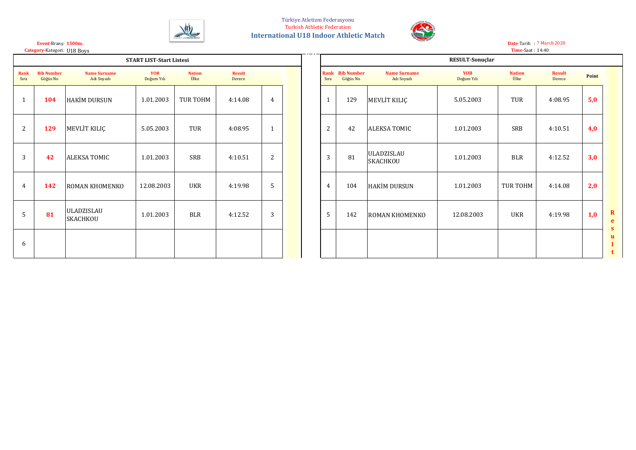



**Date-**Tarih : 7 March 2020

**Category-**Kategori: U18 Boys **Time-Saat** : 14:40 **Time-**Saat :

**1500m. Event-**Branş:

|              |                               |                                      | <b>START LIST-Start Listesi</b> |                       |                         |              |  |              |                                    |                                      | <b>RESULT-Sonuclar</b>   |
|--------------|-------------------------------|--------------------------------------|---------------------------------|-----------------------|-------------------------|--------------|--|--------------|------------------------------------|--------------------------------------|--------------------------|
| Rank<br>Sıra | <b>Bib Number</b><br>Göğüs No | <b>Name Surname</b><br>Adı Soyadı    | <b>YOB</b><br>Doğum Yılı        | <b>Nation</b><br>Ülke | <b>Result</b><br>Derece |              |  | Sıra         | <b>Rank</b> Bib Number<br>Göğüs No | <b>Name Surname</b><br>Adı Soyadı    | <b>YOB</b><br>Doğum Yılı |
| $\mathbf{1}$ | 104                           | HAKİM DURSUN                         | 1.01.2003                       | TUR TOHM              | 4:14.08                 | 4            |  | $\mathbf{1}$ | 129                                | MEVLIT KILIÇ                         | 5.05.2003                |
| 2            | 129                           | MEVLIT KILIÇ                         | 5.05.2003                       | <b>TUR</b>            | 4:08.95                 | $\mathbf{1}$ |  | 2            | 42                                 | <b>ALEKSA TOMIC</b>                  | 1.01.2003                |
| 3            | 42                            | ALEKSA TOMIC                         | 1.01.2003                       | SRB                   | 4:10.51                 | 2            |  | 3            | 81                                 | <b>ULADZISLAU</b><br><b>SKACHKOU</b> | 1.01.2003                |
| 4            | 142                           | <b>ROMAN KHOMENKO</b>                | 12.08.2003                      | <b>UKR</b>            | 4:19.98                 | 5            |  | 4            | 104                                | <b>HAKİM DURSUN</b>                  | 1.01.2003                |
| 5            | 81                            | <b>ULADZISLAU</b><br><b>SKACHKOU</b> | 1.01.2003                       | <b>BLR</b>            | 4:12.52                 | 3            |  | 5            | 142                                | <b>ROMAN KHOMENKO</b>                | 12.08.2003               |
| 6            |                               |                                      |                                 |                       |                         |              |  |              |                                    |                                      |                          |

|                |                               |                                   | <b>START LIST-Start Listesi</b> |                       |                         |                |  |                |                                    |                                   | RESULT-Sonuçlar   |                       |                         |       |
|----------------|-------------------------------|-----------------------------------|---------------------------------|-----------------------|-------------------------|----------------|--|----------------|------------------------------------|-----------------------------------|-------------------|-----------------------|-------------------------|-------|
| ıra            | <b>Bib Number</b><br>Göğüs No | <b>Name Surname</b><br>Adı Soyadı | YOB<br>Doğum Yılı               | <b>Nation</b><br>Ülke | <b>Result</b><br>Derece |                |  | Sıra           | <b>Rank</b> Bib Number<br>Göğüs No | <b>Name Surname</b><br>Adı Soyadı | YOB<br>Doğum Yılı | <b>Nation</b><br>Ülke | <b>Result</b><br>Derece | Point |
| $\mathbf{1}$   | 104                           | <b>HAKİM DURSUN</b>               | 1.01.2003                       | TUR TOHM              | 4:14.08                 | $\overline{4}$ |  | $\mathbf{1}$   | 129                                | MEVLIT KILIÇ                      | 5.05.2003         | TUR                   | 4:08.95                 | 5,0   |
| $\overline{2}$ | 129                           | MEVLIT KILIÇ                      | 5.05.2003                       | TUR                   | 4:08.95                 |                |  | $\overline{2}$ | 42                                 | <b>ALEKSA TOMIC</b>               | 1.01.2003         | <b>SRB</b>            | 4:10.51                 | 4,0   |
| $\overline{3}$ | 42                            | ALEKSA TOMIC                      | 1.01.2003                       | SRB                   | 4:10.51                 | 2              |  | 3              | 81                                 | ULADZISLAU<br><b>SKACHKOU</b>     | 1.01.2003         | <b>BLR</b>            | 4:12.52                 | 3,0   |
| 4              | 142                           | <b>ROMAN KHOMENKO</b>             | 12.08.2003                      | <b>UKR</b>            | 4:19.98                 | 5              |  | $\overline{4}$ | 104                                | HAKİM DURSUN                      | 1.01.2003         | TUR TOHM              | 4:14.08                 | 2,0   |
| 5              | 81                            | ULADZISLAU<br>SKACHKOU            | 1.01.2003                       | <b>BLR</b>            | 4:12.52                 | 3              |  | 5              | 142                                | ROMAN KHOMENKO                    | 12.08.2003        | UKR                   | 4:19.98                 | 1,0   |
| 6              |                               |                                   |                                 |                       |                         |                |  |                |                                    |                                   |                   |                       |                         |       |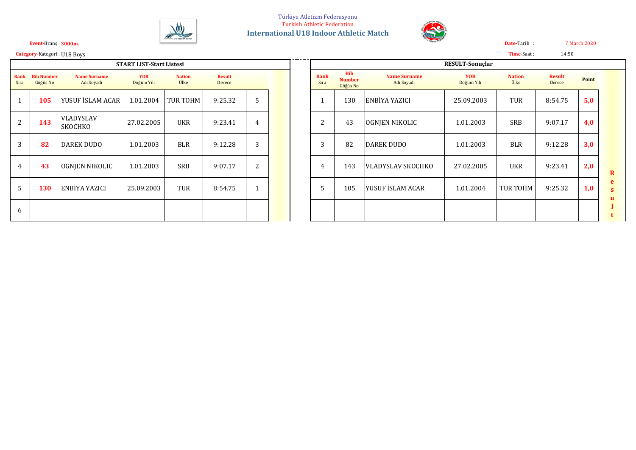



7 March 2020 14:50

**Date-**Tarih : **Time-**Saat :

**3000m. Event-**Branş: **Category-**Kategori: U18 Boys

| <b>START LIST-Start Listesi</b> |                               |                                   |                          |                       |                         |                |  |  |  |  |  |  |  |
|---------------------------------|-------------------------------|-----------------------------------|--------------------------|-----------------------|-------------------------|----------------|--|--|--|--|--|--|--|
| Rank<br>Sıra                    | <b>Bib Number</b><br>Göğüs No | <b>Name Surname</b><br>Adı Soyadı | <b>YOB</b><br>Doğum Yılı | <b>Nation</b><br>Ülke | <b>Result</b><br>Derece |                |  |  |  |  |  |  |  |
| 1                               | 105                           | YUSUF İSLAM ACAR                  | 1.01.2004                | TUR TOHM              | 9:25.32                 | 5              |  |  |  |  |  |  |  |
| $\overline{2}$                  | 143                           | VLADYSLAV<br><b>SKOCHKO</b>       | 27.02.2005               | <b>UKR</b>            | 9:23.41                 | 4              |  |  |  |  |  |  |  |
| 3                               | 82                            | <b>DAREK DUDO</b>                 | 1.01.2003                | <b>BLR</b>            | 9:12.28                 | 3              |  |  |  |  |  |  |  |
| 4                               | 43                            | OGNJEN NIKOLIC                    | 1.01.2003                | <b>SRB</b>            | 9:07.17                 | $\overline{2}$ |  |  |  |  |  |  |  |
| 5                               | <b>130</b>                    | ENBİYA YAZICI                     | 25.09.2003               | TUR                   | 8:54.75                 | 1              |  |  |  |  |  |  |  |
| 6                               |                               |                                   |                          |                       |                         |                |  |  |  |  |  |  |  |

|                |                               |                                    | <b>START LIST-Start Listesi</b> |                       |                         |                |  |                |                                         |                                   | <b>RESULT-Sonuclar</b>   |                       |                         |       |             |
|----------------|-------------------------------|------------------------------------|---------------------------------|-----------------------|-------------------------|----------------|--|----------------|-----------------------------------------|-----------------------------------|--------------------------|-----------------------|-------------------------|-------|-------------|
| nk<br>ra       | <b>Bib Number</b><br>Göğüs No | <b>Name Surname</b><br>Adı Soyadı  | <b>YOB</b><br>Doğum Yılı        | <b>Nation</b><br>Ülke | <b>Result</b><br>Derece |                |  | Rank<br>Sıra   | <b>Bib</b><br><b>Number</b><br>Göğüs No | <b>Name Surname</b><br>Adı Soyadı | <b>YOB</b><br>Doğum Yılı | <b>Nation</b><br>Ülke | <b>Result</b><br>Derece | Point |             |
| $\blacksquare$ | 105                           | YUSUF İSLAM ACAR                   | 1.01.2004                       | TUR TOHM              | 9:25.32                 |                |  |                | 130                                     | <b>ENBİYA YAZICI</b>              | 25.09.2003               | <b>TUR</b>            | 8:54.75                 | 5,0   |             |
| $\overline{2}$ | 143                           | <b>VLADYSLAV</b><br><b>SKOCHKO</b> | 27.02.2005                      | <b>UKR</b>            | 9:23.41                 | $\overline{4}$ |  | $\overline{2}$ | 43                                      | OGNJEN NIKOLIC                    | 1.01.2003                | SRB                   | 9:07.17                 | 4,0   |             |
| 3              | 82                            | DAREK DUDO                         | 1.01.2003                       | <b>BLR</b>            | 9:12.28                 | 3              |  | 3              | 82                                      | DAREK DUDO                        | 1.01.2003                | <b>BLR</b>            | 9:12.28                 | 3,0   |             |
| 4              | 43                            | <b>OGNIEN NIKOLIC</b>              | 1.01.2003                       | <b>SRB</b>            | 9:07.17                 | 2              |  | 4              | 143                                     | VLADYSLAV SKOCHKO                 | 27.02.2005               | <b>UKR</b>            | 9:23.41                 | 2,0   | $\bf{R}$    |
| 5              | 130                           | <b>ENBİYA YAZICI</b>               | 25.09.2003                      | <b>TUR</b>            | 8:54.75                 |                |  |                | 105                                     | <b>YUSUF ISLAM ACAR</b>           | 1.01.2004                | <b>TUR TOHM</b>       | 9:25.32                 | 1,0   | e<br>s<br>u |
| 6              |                               |                                    |                                 |                       |                         |                |  |                |                                         |                                   |                          |                       |                         |       |             |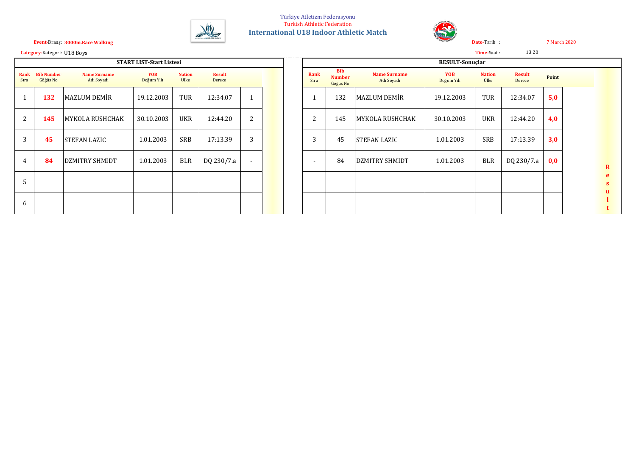



**Category-**Kategori: **U18 Boys Category-**Kategori: **Championships Record in the conductions Record in the area in the same in the same in the same in the same in the same in the same in the same in the same in the same i** 

| <b>START LIST-Start Listesi</b> |                               |                                   |                          |                       |                         |   |  |  |  |  |  |  |  |
|---------------------------------|-------------------------------|-----------------------------------|--------------------------|-----------------------|-------------------------|---|--|--|--|--|--|--|--|
| <b>Rank</b><br>Sıra             | <b>Bib Number</b><br>Göğüs No | <b>Name Surname</b><br>Adı Soyadı | <b>YOB</b><br>Doğum Yılı | <b>Nation</b><br>Ülke | <b>Result</b><br>Derece |   |  |  |  |  |  |  |  |
| $\mathbf{1}$                    | 132                           | <b>MAZLUM DEMİR</b>               | 19.12.2003               | TUR                   | 12:34.07                | 1 |  |  |  |  |  |  |  |
| $\overline{2}$                  | 145                           | MYKOLA RUSHCHAK                   | 30.10.2003               | <b>UKR</b>            | 12:44.20                | 2 |  |  |  |  |  |  |  |
| 3                               | 45                            | <b>STEFAN LAZIC</b>               | 1.01.2003                | <b>SRB</b>            | 17:13.39                | 3 |  |  |  |  |  |  |  |
| $\overline{4}$                  | 84                            | DZMITRY SHMIDT                    | 1.01.2003                | <b>BLR</b>            | DQ 230/7.a              |   |  |  |  |  |  |  |  |
| 5                               |                               |                                   |                          |                       |                         |   |  |  |  |  |  |  |  |
| 6                               |                               |                                   |                          |                       |                         |   |  |  |  |  |  |  |  |

|                |                            |                                   | <b>START LIST-Start Listesi</b> |                       |                         |   | ___ |                          |                                         |                                   | RESULT-Sonuçlar          |                       |                         |       |                                   |
|----------------|----------------------------|-----------------------------------|---------------------------------|-----------------------|-------------------------|---|-----|--------------------------|-----------------------------------------|-----------------------------------|--------------------------|-----------------------|-------------------------|-------|-----------------------------------|
| ıra            | ank Bib Number<br>Göğüs No | <b>Name Surname</b><br>Adı Soyadı | <b>YOB</b><br>Doğum Yılı        | <b>Nation</b><br>Ülke | <b>Result</b><br>Derece |   |     | Rank<br>Sıra             | <b>Bib</b><br><b>Number</b><br>Göğüs No | <b>Name Surname</b><br>Adı Soyadı | <b>YOB</b><br>Doğum Yılı | <b>Nation</b><br>Ülke | <b>Result</b><br>Derece | Point |                                   |
|                | 132                        | MAZLUM DEMIR                      | 19.12.2003                      | TUR                   | 12:34.07                |   |     |                          | 132                                     | MAZLUM DEMİR                      | 19.12.2003               | TUR                   | 12:34.07                | 5,0   |                                   |
| $\overline{2}$ | 145                        | MYKOLA RUSHCHAK                   | 30.10.2003                      | <b>UKR</b>            | 12:44.20                | 2 |     | 2                        | 145                                     | MYKOLA RUSHCHAK                   | 30.10.2003               | <b>UKR</b>            | 12:44.20                | 4,0   |                                   |
| 3              | 45                         | <b>STEFAN LAZIC</b>               | 1.01.2003                       | SRB                   | 17:13.39                | 3 |     | 3                        | 45                                      | <b>STEFAN LAZIC</b>               | 1.01.2003                | SRB                   | 17:13.39                | 3,0   |                                   |
| 4              | 84                         | DZMITRY SHMIDT                    | 1.01.2003                       | <b>BLR</b>            | DQ 230/7.a              |   |     | $\overline{\phantom{0}}$ | 84                                      | DZMITRY SHMIDT                    | 1.01.2003                | <b>BLR</b>            | DQ 230/7.a              | 0,0   | $\mathbf{R}$                      |
| 5              |                            |                                   |                                 |                       |                         |   |     |                          |                                         |                                   |                          |                       |                         |       | e<br>$\mathbf{s}$<br>$\mathbf{u}$ |
| 6              |                            |                                   |                                 |                       |                         |   |     |                          |                                         |                                   |                          |                       |                         |       | t                                 |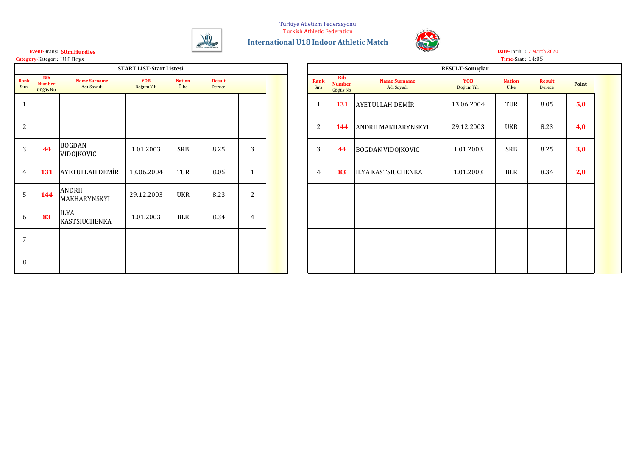Türkiye Atletizm Federasyonu





**60m.Hurdles Event-**Branş:

|                | Category-Kategori: U18 Boys<br><b>START LIST-Start Listesi</b> |                                     |                          |                       |                         |                |  |  |  |  |  |  |  |  |
|----------------|----------------------------------------------------------------|-------------------------------------|--------------------------|-----------------------|-------------------------|----------------|--|--|--|--|--|--|--|--|
|                |                                                                |                                     |                          |                       |                         |                |  |  |  |  |  |  |  |  |
| Rank<br>Sıra   | <b>Bib</b><br><b>Number</b><br>Göğüs No                        | <b>Name Surname</b><br>Adı Soyadı   | <b>YOB</b><br>Doğum Yılı | <b>Nation</b><br>Ülke | <b>Result</b><br>Derece |                |  |  |  |  |  |  |  |  |
| $\mathbf{1}$   |                                                                |                                     |                          |                       |                         |                |  |  |  |  |  |  |  |  |
| $\overline{2}$ |                                                                |                                     |                          |                       |                         |                |  |  |  |  |  |  |  |  |
| 3              | 44                                                             | <b>BOGDAN</b><br>VIDOJKOVIC         | 1.01.2003                | SRB                   | 8.25                    | 3              |  |  |  |  |  |  |  |  |
| 4              | 131                                                            | AYETULLAH DEMİR                     | 13.06.2004               | TUR                   | 8.05                    | $\mathbf{1}$   |  |  |  |  |  |  |  |  |
| 5              | 144                                                            | <b>ANDRII</b><br>MAKHARYNSKYI       | 29.12.2003               | <b>UKR</b>            | 8.23                    | $\overline{2}$ |  |  |  |  |  |  |  |  |
| 6              | 83                                                             | <b>ILYA</b><br><b>KASTSIUCHENKA</b> | 1.01.2003                | <b>BLR</b>            | 8.34                    | $\overline{4}$ |  |  |  |  |  |  |  |  |
| 7              |                                                                |                                     |                          |                       |                         |                |  |  |  |  |  |  |  |  |
| 8              |                                                                |                                     |                          |                       |                         |                |  |  |  |  |  |  |  |  |

 $\frac{1}{2}$ 

|                                                                                                                                                                                                                                                                                 |          | t <b>egory-</b> Kategori: U18 Boys |            |            |        |              |  |  |                |          |                        |            | <b>Time-Saat: 14:05</b> |        |     |  |
|---------------------------------------------------------------------------------------------------------------------------------------------------------------------------------------------------------------------------------------------------------------------------------|----------|------------------------------------|------------|------------|--------|--------------|--|--|----------------|----------|------------------------|------------|-------------------------|--------|-----|--|
| <b>START LIST-Start Listesi</b><br><b>RESULT-Sonuclar</b><br><b>Bib</b><br><b>Bib</b><br>YOB<br>ank<br>Rank<br><b>Name Surname</b><br><b>Nation</b><br><b>Result</b><br><b>Name Surname</b><br>YOB<br><b>Result</b><br><b>Nation</b><br><b>Number</b><br>Point<br><b>Number</b> |          |                                    |            |            |        |              |  |  |                |          |                        |            |                         |        |     |  |
| ıra                                                                                                                                                                                                                                                                             | Göğüs No | Adı Soyadı                         | Doğum Yılı | Ülke       | Derece |              |  |  | Sıra           | Göğüs No | Adı Soyadı             | Doğum Yılı | Ülke                    | Derece |     |  |
|                                                                                                                                                                                                                                                                                 |          |                                    |            |            |        |              |  |  | -1             | 131      | <b>AYETULLAH DEMİR</b> | 13.06.2004 | TUR                     | 8.05   | 5,0 |  |
| $\overline{c}$                                                                                                                                                                                                                                                                  |          |                                    |            |            |        |              |  |  | $\overline{2}$ | 144      | ANDRII MAKHARYNSKYI    | 29.12.2003 | <b>UKR</b>              | 8.23   | 4,0 |  |
| $\overline{3}$                                                                                                                                                                                                                                                                  | 44       | BOGDAN<br>VIDOJKOVIC               | 1.01.2003  | SRB        | 8.25   | 3            |  |  | 3              | 44       | BOGDAN VIDOJKOVIC      | 1.01.2003  | SRB                     | 8.25   | 3,0 |  |
| $\overline{4}$                                                                                                                                                                                                                                                                  | 131      | <b>AYETULLAH DEMİR</b>             | 13.06.2004 | TUR        | 8.05   | $\mathbf{1}$ |  |  | $\overline{4}$ | 83       | ILYA KASTSIUCHENKA     | 1.01.2003  | <b>BLR</b>              | 8.34   | 2,0 |  |
| 5                                                                                                                                                                                                                                                                               | 144      | ANDRII<br>MAKHARYNSKYI             | 29.12.2003 | <b>UKR</b> | 8.23   | 2            |  |  |                |          |                        |            |                         |        |     |  |
| 6                                                                                                                                                                                                                                                                               | 83       | <b>ILYA</b><br>KASTSIUCHENKA       | 1.01.2003  | <b>BLR</b> | 8.34   | 4            |  |  |                |          |                        |            |                         |        |     |  |
| 7                                                                                                                                                                                                                                                                               |          |                                    |            |            |        |              |  |  |                |          |                        |            |                         |        |     |  |
| 8                                                                                                                                                                                                                                                                               |          |                                    |            |            |        |              |  |  |                |          |                        |            |                         |        |     |  |

7 March 2020 **Date-**Tarih :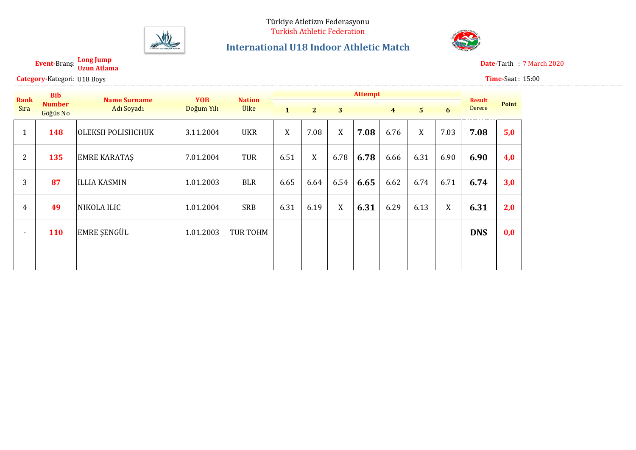

**Long Jump**

Category-Kategori: U18 Boys

## **International U18 Indoor Athletic Match**



**Uzun Atlama Event-**Branş: **Date-**Tarih : Date-Tarih: 7 March 2020

**Time-**Saat : 15:00

| <b>Rank</b>    | <b>Bib</b>                | <b>Name Surname</b> | <b>YOB</b> | <b>Nation</b> |              |                |      | <b>Attempt</b> |                |                |      | <b>Result</b> |       |
|----------------|---------------------------|---------------------|------------|---------------|--------------|----------------|------|----------------|----------------|----------------|------|---------------|-------|
| Sira           | <b>Number</b><br>Göğüs No | Adı Soyadı          | Doğum Yılı | Ülke          | $\mathbf{1}$ | 2 <sup>1</sup> | 3    |                | $\overline{4}$ | 5 <sup>5</sup> | 6    | Derece        | Point |
| 1              | 148                       | OLEKSII POLISHCHUK  | 3.11.2004  | <b>UKR</b>    | X            | 7.08           | X    | 7.08           | 6.76           | X              | 7.03 | 7.08          | 5,0   |
| $\overline{2}$ | 135                       | <b>EMRE KARATAS</b> | 7.01.2004  | <b>TUR</b>    | 6.51         | X              | 6.78 | 6.78           | 6.66           | 6.31           | 6.90 | 6.90          | 4,0   |
| 3              | 87                        | <b>ILLIA KASMIN</b> | 1.01.2003  | <b>BLR</b>    | 6.65         | 6.64           | 6.54 | 6.65           | 6.62           | 6.74           | 6.71 | 6.74          | 3,0   |
| 4              | 49                        | NIKOLA ILIC         | 1.01.2004  | <b>SRB</b>    | 6.31         | 6.19           | X    | 6.31           | 6.29           | 6.13           | X    | 6.31          | 2,0   |
| $\blacksquare$ | <b>110</b>                | EMRE ŞENGÜL         | 1.01.2003  | TUR TOHM      |              |                |      |                |                |                |      | <b>DNS</b>    | 0,0   |
|                |                           |                     |            |               |              |                |      |                |                |                |      |               |       |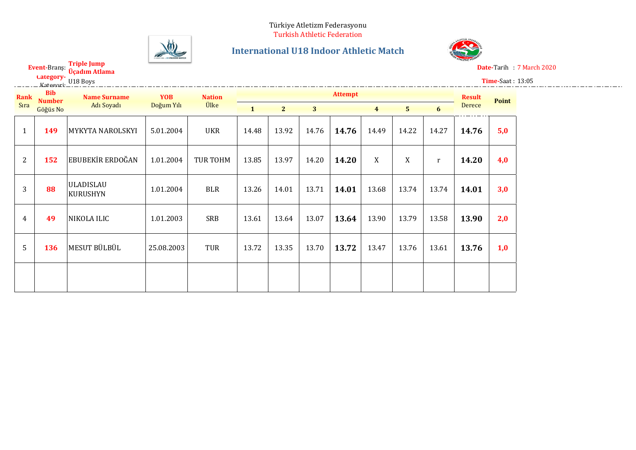

**Triple Jump**

### **International U18 Indoor Athletic Match**



**Üçadım Atlama Event-**Branş: **Date-**Tarih : **Bate-Tarih : 7 March 2020** 

**Time-**Saat : 13:05

|                |                             | <b>Category-</b> U18 Boys    |            |                 |              |                |       |                |                |                |           |               | Time-Saat: |
|----------------|-----------------------------|------------------------------|------------|-----------------|--------------|----------------|-------|----------------|----------------|----------------|-----------|---------------|------------|
| Rank           | <b>Bib</b><br><b>Number</b> | <b>Name Surname</b>          | <b>YOB</b> | <b>Nation</b>   |              |                |       | <b>Attempt</b> |                |                |           | <b>Result</b> | Point      |
| Sıra           | Göğüs No                    | Adı Soyadı                   | Doğum Yılı | <b>Ülke</b>     | $\mathbf{1}$ | 2 <sub>2</sub> | 3     |                | $\overline{4}$ | $5\phantom{1}$ | 6         | Derece        |            |
| $\mathbf{1}$   | 149                         | MYKYTA NAROLSKYI             | 5.01.2004  | <b>UKR</b>      | 14.48        | 13.92          | 14.76 | 14.76          | 14.49          | 14.22          | 14.27     | 14.76         | 5,0        |
| $\overline{2}$ | 152                         | <b>EBUBEKİR ERDOĞAN</b>      | 1.01.2004  | <b>TUR TOHM</b> | 13.85        | 13.97          | 14.20 | 14.20          | X              | X              | $r_{\rm}$ | 14.20         | 4,0        |
| 3              | 88                          | <b>ULADISLAU</b><br>KURUSHYN | 1.01.2004  | <b>BLR</b>      | 13.26        | 14.01          | 13.71 | 14.01          | 13.68          | 13.74          | 13.74     | 14.01         | 3,0        |
| 4              | 49                          | NIKOLA ILIC                  | 1.01.2003  | <b>SRB</b>      | 13.61        | 13.64          | 13.07 | 13.64          | 13.90          | 13.79          | 13.58     | 13.90         | 2,0        |
| 5              | 136                         | MESUT BÜLBÜL                 | 25.08.2003 | TUR             | 13.72        | 13.35          | 13.70 | 13.72          | 13.47          | 13.76          | 13.61     | 13.76         | 1,0        |
|                |                             |                              |            |                 |              |                |       |                |                |                |           |               |            |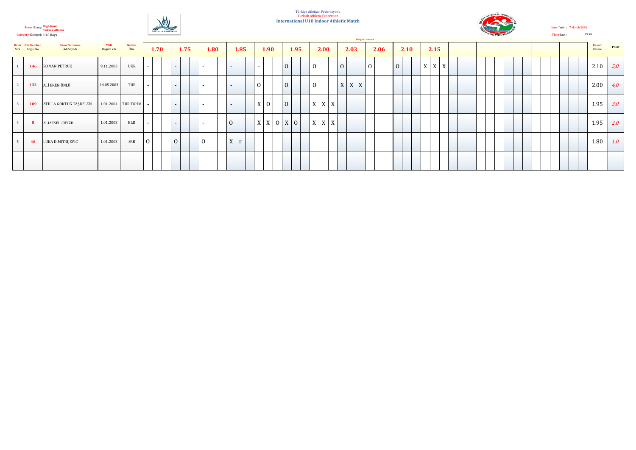

**High Jump Yüksek Atlama Event-**Branş: Category-Kategori: U18 Boys

#### Türkiye Atletizm Federasyonu Turkish Athletic Federation **International U18 Indoor Athletic Match**



Date-Tarih: 7 March 2020 **Time-Saat :** 15:40

|                |                                         |                            |                          |                              |                          |                |      |              |                 |         |                |      |                     |                |                 |                |             | Height - Yükseklik |      |                |  |                 |  |  |  |  |  |                  |       |
|----------------|-----------------------------------------|----------------------------|--------------------------|------------------------------|--------------------------|----------------|------|--------------|-----------------|---------|----------------|------|---------------------|----------------|-----------------|----------------|-------------|--------------------|------|----------------|--|-----------------|--|--|--|--|--|------------------|-------|
|                | <b>Rank Bib Number</b><br>Sıra Göğüs No | Name Surname<br>Adı Soyadı | <b>YOB</b><br>Doğum Yılı | <b>Nation</b><br><b>Ülke</b> | 1.70                     |                | 1.75 | 1.80         |                 | 1.85    |                | 1.90 | 1.95                |                | 2.00            |                | 2.03        |                    | 2.06 | 2.10           |  | 2.15            |  |  |  |  |  | Result<br>Derece | Point |
|                | 146                                     | <b>ROMAN PETRUK</b>        | 9.11.2003                | UKR                          | $\sim$                   | $\sim$         |      | $\sim$       | $\sim$          |         | $\sim$         |      | $\overline{0}$      | $\Omega$       |                 | $\overline{0}$ |             | $\Omega$           |      | $\overline{0}$ |  | $X$   $X$   $X$ |  |  |  |  |  | 2.10             | 5,0   |
| $\overline{2}$ | 133                                     | ALİ EREN ÜNLÜ              | 14.05.2003               | TUR                          | $\sim$                   | $\sim$         |      | $\sim$       | $\sim$          |         | $\overline{0}$ |      | $\overline{0}$      | $\overline{0}$ |                 |                | $X$ $X$ $X$ |                    |      |                |  |                 |  |  |  |  |  | 2.00             | 4,0   |
|                | 109                                     | ATİLLA GÖKTUĞ TAŞDELEN     |                          | 1.01.2004 TUR TOHM           | $\overline{\phantom{a}}$ | $\sim$         |      | $\sim$       | $\sim$          |         |                | X 0  | $\vert 0 \vert$     |                | $X$ $X$ $X$     |                |             |                    |      |                |  |                 |  |  |  |  |  | 1.95             | 3,0   |
|                |                                         | ALIAKSEI CHYZH             | 1.01.2003                | <b>BLR</b>                   | $\sim$                   | $\sim$         |      | $\sim$       | $\vert 0 \vert$ |         |                |      | $X$ $X$ $0$ $X$ $0$ |                | $X$   $X$   $X$ |                |             |                    |      |                |  |                 |  |  |  |  |  | 1.95             | 2,0   |
| $5 -$          | 46                                      | LUKA DIMITRIJEVIC          | 1.01.2003                | SRB                          | $\mathbf{0}$             | $\overline{0}$ |      | $\mathbf{0}$ |                 | $X$ $r$ |                |      |                     |                |                 |                |             |                    |      |                |  |                 |  |  |  |  |  | 1.80             | 1,0   |
|                |                                         |                            |                          |                              |                          |                |      |              |                 |         |                |      |                     |                |                 |                |             |                    |      |                |  |                 |  |  |  |  |  |                  |       |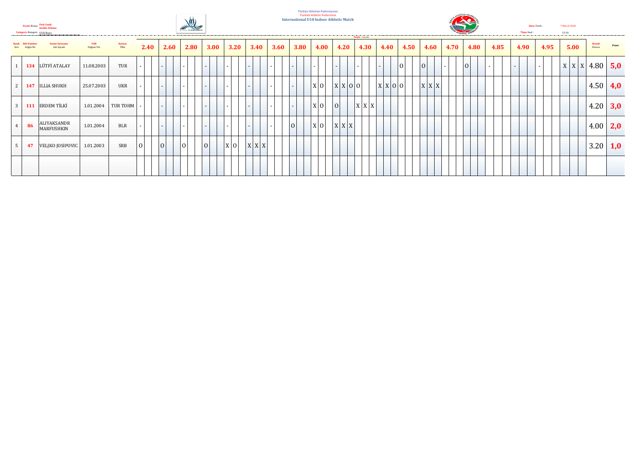

**Event-**Branş:







**Date-**Tarih : 7 March 2020

|                                 |                                   |                          |                       |      |                          |      |             |      |             |      |      |      | Height - valued by the state of the state of the state of the state of the state of the state of the state of the state of the state of the state of the state of the state of the state of the state of the state of the stat |       |                 |      |             |        |      |      |                          |        |                   |                         |                 |
|---------------------------------|-----------------------------------|--------------------------|-----------------------|------|--------------------------|------|-------------|------|-------------|------|------|------|--------------------------------------------------------------------------------------------------------------------------------------------------------------------------------------------------------------------------------|-------|-----------------|------|-------------|--------|------|------|--------------------------|--------|-------------------|-------------------------|-----------------|
| tank Bib Numbe<br>Sıra Göğüs No | <b>Name Surname</b><br>Adı Soyadı | <b>YOB</b><br>Doğum Yılı | <b>Nation</b><br>Ülke | 2.40 | 2.60                     | 2.80 | <b>3.00</b> | 3.20 | 3.40        | 3.60 | 3.80 | 4.00 | 4.20                                                                                                                                                                                                                           | 4.30  | 4.40            | 4.50 | 4.60        | 4.70   | 4.80 | 4.85 | 4.90                     | 4.95   | 5.00              | <b>Result</b><br>Derece | Point           |
|                                 | 134 LÜTFİ ATALAY                  | 11.08.2003               | TUR                   |      | $\overline{\phantom{0}}$ |      |             |      |             |      |      |      |                                                                                                                                                                                                                                |       |                 | 0    | O           | $\sim$ | 0    | $-1$ | $\overline{\phantom{0}}$ | $\sim$ | $ X X X 4.80$ 5,0 |                         |                 |
|                                 | 147 ILLIA SHUKH                   | 25.07.2003               | <b>UKR</b>            | - 1  | $\overline{\phantom{0}}$ |      |             |      |             |      |      | X 0  | X X 0 0                                                                                                                                                                                                                        |       | $X$ $X$ $0$ $0$ |      | $X$ $X$ $X$ |        |      |      |                          |        |                   |                         | 4.50 $\mid$ 4,0 |
|                                 | 111 ERDEM TİLKİ                   | 1.01.2004                | TUR TOHM              |      | $\sim$                   | -    |             |      |             |      |      | x 0  | O                                                                                                                                                                                                                              | X X X |                 |      |             |        |      |      |                          |        |                   |                         | 4.20 $ 3,0 $    |
| 86                              | ALIYAKSANDR<br>MARFUSHKIN         | 1.01.2004                | <b>BLR</b>            |      | $\overline{\phantom{0}}$ |      |             |      |             |      | 0    | X 0  | $X$ $X$ $X$                                                                                                                                                                                                                    |       |                 |      |             |        |      |      |                          |        |                   |                         | 4.00 $ 2,0 $    |
| 47                              | VELJKO JOSIPOVIC                  | 1.01.2003                | SRB                   | 0    | 0                        | 0    | 0           | X 0  | $X$ $X$ $X$ |      |      |      |                                                                                                                                                                                                                                |       |                 |      |             |        |      |      |                          |        |                   |                         | 3.20 1,0        |
|                                 |                                   |                          |                       |      |                          |      |             |      |             |      |      |      |                                                                                                                                                                                                                                |       |                 |      |             |        |      |      |                          |        |                   |                         |                 |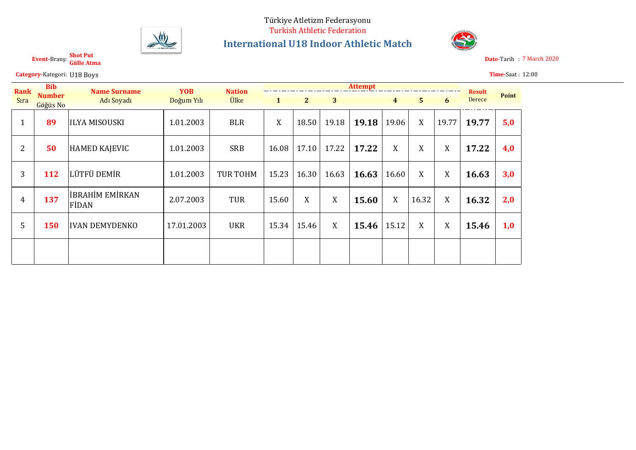

**Shot Put**

**Gülle Atma Event-**Branş:

## **International U18 Indoor Athletic Match**



**Date-Tarih : 7 March 2020** 

|                | <b>Category-Kategori: U18 Boys</b> |                                 |            |                 |              |                |       |                |                |                  |       |               | <b>Time-Saat: 12:00</b> |
|----------------|------------------------------------|---------------------------------|------------|-----------------|--------------|----------------|-------|----------------|----------------|------------------|-------|---------------|-------------------------|
| <b>Rank</b>    | <b>Bib</b>                         | <b>Name Surname</b>             | <b>YOB</b> | <b>Nation</b>   |              |                |       | <b>Attempt</b> |                |                  |       | <b>Result</b> |                         |
| Sira           | <b>Number</b><br>Göğüs No          | Adı Soyadı                      | Doğum Yılı | <b>Ülke</b>     | $\mathbf{1}$ | 2 <sup>1</sup> | 3     |                | $\overline{4}$ | 5 <sup>1</sup>   | 6     | Derece        | Point                   |
| $\mathbf{1}$   | 89                                 | <b>ILYA MISOUSKI</b>            | 1.01.2003  | <b>BLR</b>      | X            | 18.50          | 19.18 | 19.18          | 19.06          | X                | 19.77 | 19.77         | 5,0                     |
| $\overline{2}$ | 50                                 | <b>HAMED KAJEVIC</b>            | 1.01.2003  | <b>SRB</b>      | 16.08        | 17.10          | 17.22 | 17.22          | X              | X                | X     | 17.22         | 4,0                     |
| 3              | 112                                | LÜTFÜ DEMİR                     | 1.01.2003  | <b>TUR TOHM</b> | 15.23        | 16.30          | 16.63 | 16.63          | 16.60          | X                | X     | 16.63         | 3,0                     |
| 4              | 137                                | <b>İBRAHİM EMİRKAN</b><br>FIDAN | 2.07.2003  | <b>TUR</b>      | 15.60        | X              | X     | 15.60          | X              | 16.32            | X     | 16.32         | 2,0                     |
| 5              | 150                                | <b>IVAN DEMYDENKO</b>           | 17.01.2003 | <b>UKR</b>      | 15.34        | 15.46          | X     | 15.46          | 15.12          | $\boldsymbol{X}$ | X     | 15.46         | 1,0                     |
|                |                                    |                                 |            |                 |              |                |       |                |                |                  |       |               |                         |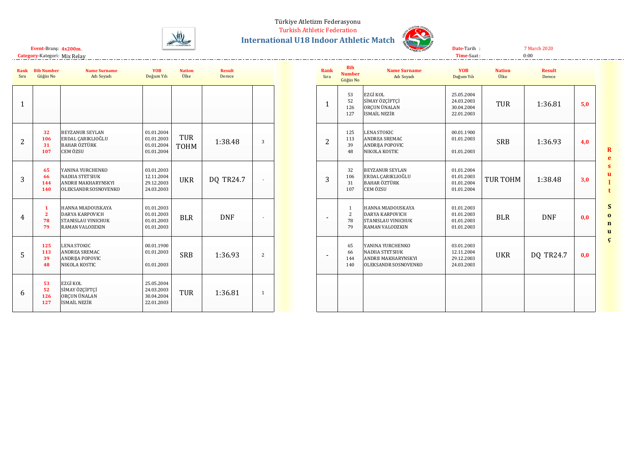#### Türkiye Atletizm Federasyonu

Turkish Athletic Federation



**International U18 Indoor Athletic Match**



**Time-**Saat : **Date-**Tarih : 7 March 2020

 $0:00$ 

**4x200m. Event-**Branş: **Category-**Kategori: Mix Relay

| Rank<br>Sıra   | <b>Bib Number</b><br>Göğüs No              | <b>Name Surname</b><br>Adı Soyadı                                                         | <b>YOB</b><br>Doğum Yılı                             | <b>Nation</b><br>Ülke | <b>Result</b><br>Derece |                |  | Ran<br>Sır:    |
|----------------|--------------------------------------------|-------------------------------------------------------------------------------------------|------------------------------------------------------|-----------------------|-------------------------|----------------|--|----------------|
| $\mathbf{1}$   |                                            |                                                                                           |                                                      |                       |                         |                |  | $\mathbf{1}$   |
| $\overline{2}$ | 32<br>106<br>31<br>107                     | <b>BEYZANUR SEYLAN</b><br>ERDAL ÇARIKLIOĞLU<br><b>BAHAR ÖZTÜRK</b><br>CEM ÖZSU            | 01.01.2004<br>01.01.2003<br>01.01.2004<br>01.01.2004 | TUR<br>TOHM           | 1:38.48                 | 3              |  | $\overline{c}$ |
| 3              | 65<br>66<br>144<br>140                     | YANINA YURCHENKO<br><b>NADIIA STETSIUK</b><br>ANDRII MAKHARYNSKYI<br>OLEKSANDR SOSNOVENKO | 03.01.2003<br>12.11.2004<br>29.12.2003<br>24.03.2003 | <b>UKR</b>            | DQ TR24.7               |                |  | 3              |
| 4              | $\mathbf{1}$<br>$\overline{2}$<br>78<br>79 | HANNA MIADOUSKAYA<br><b>DARYA KARPOVICH</b><br>STANISLAU VINICHUK<br>RAMAN VALODZKIN      | 01.01.2003<br>01.01.2003<br>01.01.2003<br>01.01.2003 | <b>BLR</b>            | <b>DNF</b>              |                |  |                |
| 5              | 125<br>113<br>39<br>48                     | <b>LENA STOKIC</b><br>ANDREA SREMAC<br>ANDRIJA POPOVIC<br>NIKOLA KOSTIC                   | 00.01.1900<br>01.01.2003<br>01.01.2003               | <b>SRB</b>            | 1:36.93                 | $\overline{2}$ |  |                |
| 6              | 53<br>52<br>126<br>127                     | EZGİ KOL<br>SİMAY ÖZÇİFTÇİ<br>ORÇUN ÜNALAN<br><b>İSMAİL NEZİR</b>                         | 25.05.2004<br>24.03.2003<br>30.04.2004<br>22.01.2003 | TUR                   | 1:36.81                 | $\mathbf{1}$   |  |                |

| <b>Rank</b><br>Sıra | <b>Bib</b><br><b>Number</b><br>Göğüs No    | <b>Name Surname</b><br>Adı Soyadı                                                         | <b>YOB</b><br>Doğum Yılı                             | <b>Nation</b><br>Ülke | <b>Result</b><br>Derece |     |
|---------------------|--------------------------------------------|-------------------------------------------------------------------------------------------|------------------------------------------------------|-----------------------|-------------------------|-----|
| $\mathbf{1}$        | 53<br>52<br>126<br>127                     | EZGİ KOL<br>SİMAY ÖZÇİFTÇİ<br>ORCUN ÜNALAN<br><b>İSMAİL NEZİR</b>                         | 25.05.2004<br>24.03.2003<br>30.04.2004<br>22.01.2003 | <b>TUR</b>            | 1:36.81                 | 5,0 |
| 2                   | 125<br>113<br>39<br>48                     | <b>LENA STOKIC</b><br><b>ANDREA SREMAC</b><br>ANDRIJA POPOVIC<br>NIKOLA KOSTIC            | 00.01.1900<br>01.01.2003<br>01.01.2003               | <b>SRB</b>            | 1:36.93                 | 4,0 |
| 3                   | 32<br>106<br>31<br>107                     | <b>BEYZANUR SEYLAN</b><br>ERDAL CARIKLIOĞLU<br><b>BAHAR ÖZTÜRK</b><br>CEM ÖZSU            | 01.01.2004<br>01.01.2003<br>01.01.2004<br>01.01.2004 | <b>TUR TOHM</b>       | 1:38.48                 | 3,0 |
|                     | $\mathbf{1}$<br>$\overline{2}$<br>78<br>79 | HANNA MIADOUSKAYA<br><b>DARYA KARPOVICH</b><br>STANISLAU VINICHUK<br>RAMAN VALODZKIN      | 01.01.2003<br>01.01.2003<br>01.01.2003<br>01.01.2003 | <b>BLR</b>            | <b>DNF</b>              | 0,0 |
|                     | 65<br>66<br>144<br>140                     | YANINA YURCHENKO<br><b>NADIIA STETSIUK</b><br>ANDRII MAKHARYNSKYI<br>OLEKSANDR SOSNOVENKO | 03.01.2003<br>12.11.2004<br>29.12.2003<br>24.03.2003 | <b>UKR</b>            | DQ TR24.7               | 0,0 |
|                     |                                            |                                                                                           |                                                      |                       |                         |     |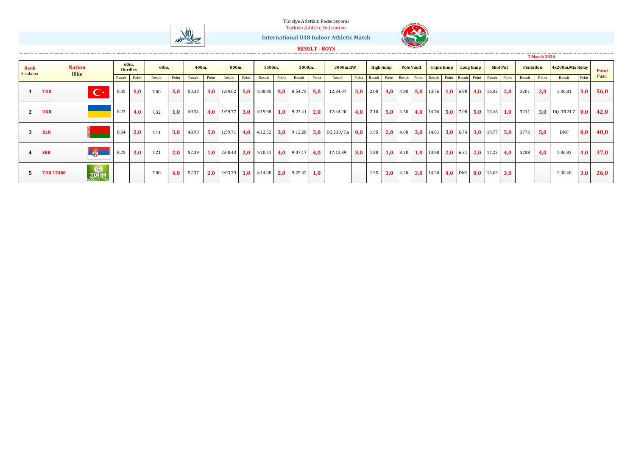#### Türkiye Atletizm Federasyonu





**International U18 Indoor Athletic Match**

#### **RESULT - BOYS**

|                  |                       |                |                        |       |        |       |        |       |         |       |                                                                     |       |                     |       |                                          |     |            |                  |                   |                                                                                                   |                    |           |                 |           | <b>7 March 2020</b> |                     |       |       |
|------------------|-----------------------|----------------|------------------------|-------|--------|-------|--------|-------|---------|-------|---------------------------------------------------------------------|-------|---------------------|-------|------------------------------------------|-----|------------|------------------|-------------------|---------------------------------------------------------------------------------------------------|--------------------|-----------|-----------------|-----------|---------------------|---------------------|-------|-------|
| Rank<br>Sıralama | <b>Nation</b><br>Ülke |                | 60m.<br><b>Hurdles</b> |       | 60m.   |       | 400m.  |       | 800m.   |       | 1500m.                                                              |       | 3000m.              |       | 3000m.RW                                 |     |            | <b>High Jump</b> | <b>Pole Vault</b> |                                                                                                   | <b>Triple Jump</b> | Long Jump | <b>Shot Put</b> | Pentation |                     | 4x200m.Mix Relay    |       | Point |
|                  |                       |                | Result                 | Point | Result | Point | Result | Point | Result  | Point | Result                                                              | Point | Result              | Point | Result                                   |     |            |                  |                   | Point Result Point Result Point Result Point Result Point Result Point                            |                    |           |                 | Result    | Point               | Result              | Point | Puan  |
|                  | <b>TUR</b>            | $\mathbf{C}^*$ | 8.05                   | 5.0   | 7.00   | 5,0   | 50.33  | 3.0   |         |       | 1:59.02 5.0 4:08.95 5.0 8:54.75 5.0                                 |       |                     |       | 12:34.07                                 |     | $5,0$ 2.00 |                  |                   | 4,0 4.80 5,0 13.76 1,0 6.90 4,0 16.32 2,0                                                         |                    |           |                 | 3201      | 2.0                 | 1:36.81             | 5,0   | 56,0  |
| 2                | <b>UKR</b>            |                | 8.23                   | 4.0   | 7.32   | 1,0   | 49.34  | 4.0   |         |       | 1:59.77 3,0 4:19.98 1,0 9:23.41 2,0                                 |       |                     |       | 12:44.20                                 |     | $4.0$ 2.10 |                  |                   |                                                                                                   |                    |           |                 | 3211      |                     | $3,0$ DQ TR24.7 0.0 |       | 42,0  |
|                  | <b>BLR</b>            |                | 8.34                   | 2.0   | 7.11   | 3,0   | 48.93  | 5.0   | 1:59.71 |       | $4,0$ 4:12.52                                                       |       |                     |       | <b>3,0</b> 9:12.28 <b>3,0</b> DQ 230/7.a |     | $0,0$ 1.95 |                  |                   | <b>2.0</b> $\begin{bmatrix} 4.00 & 2.0 \\ 14.01 & 3.0 \\ 6.74 & 3.0 \\ 19.77 & 5.0 \end{bmatrix}$ |                    |           |                 | 3776      | 5.0                 | <b>DNF</b>          | 0,0   | 40,0  |
|                  | <b>SRB</b>            |                | 8.25                   | 3.0   | 7.21   | 2,0   | 52.39  | 1,0   |         |       | 2:00.43   <b>2,0</b>   4:10.51                                      |       | $4.0$ 9:07.17 $4.0$ |       | 17:13.39                                 | 3,0 | 1.80       |                  |                   | <b>1,0</b> 3.20 <b>1,0</b> 13.90 <b>2,0</b> 6.31                                                  |                    |           | $2,0$ 17.22 4,0 | 3288      | 4,0                 | 1:36.93             | 4,0   | 37,0  |
|                  | <b>TUR TOHM</b>       | <b>TOHM</b>    |                        |       | 7.08   | 4,0   | 52.37  |       |         |       | <b>2.0</b> 2:03.79 <b>1.0</b> 4:14.08 <b>2.0</b> 9:25.32 <b>1.0</b> |       |                     |       |                                          |     | 1.95       |                  |                   | <b>3,0</b> 4.20 <b>3,0</b> 14.20 <b>4,0</b> DNS <b>0,0</b> 16.63 <b>3,0</b>                       |                    |           |                 |           |                     | 1:38.48             | 3,0   | 26,0  |